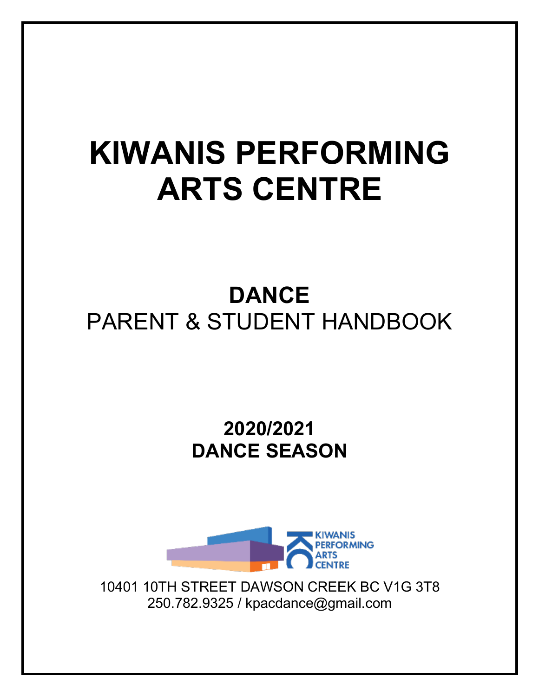# **KIWANIS PERFORMING ARTS CENTRE**

## **DANCE** PARENT & STUDENT HANDBOOK

**2020/2021 DANCE SEASON**



10401 10TH STREET DAWSON CREEK BC V1G 3T8 250.782.9325 / kpacdance@gmail.com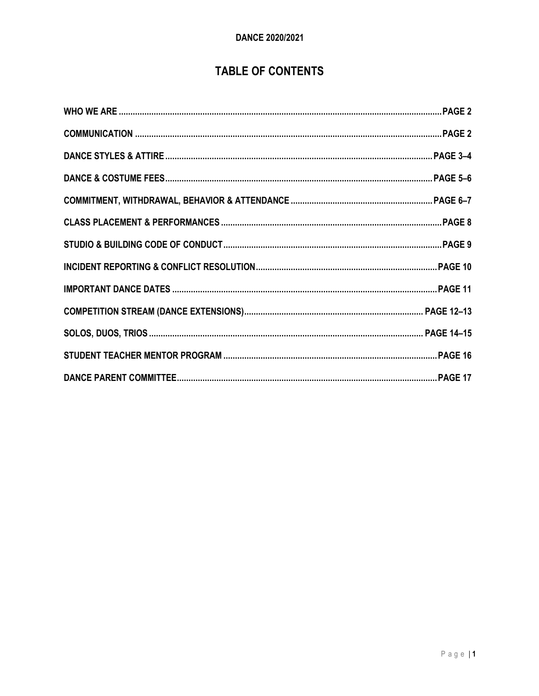### **TABLE OF CONTENTS**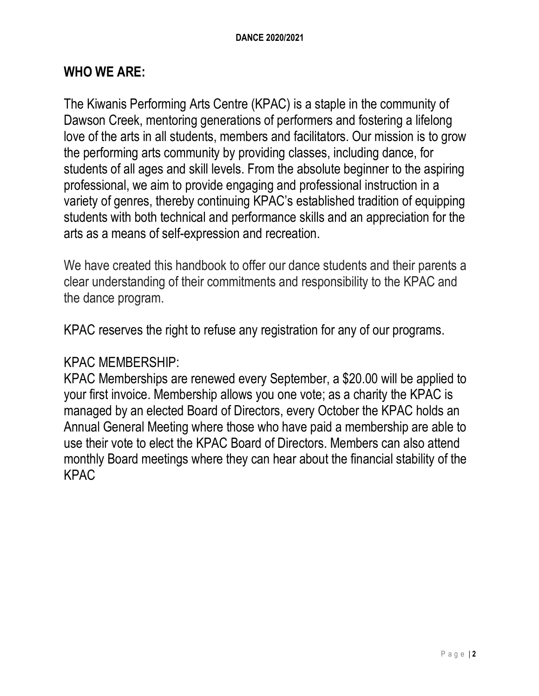#### **WHO WE ARE:**

The Kiwanis Performing Arts Centre (KPAC) is a staple in the community of Dawson Creek, mentoring generations of performers and fostering a lifelong love of the arts in all students, members and facilitators. Our mission is to grow the performing arts community by providing classes, including dance, for students of all ages and skill levels. From the absolute beginner to the aspiring professional, we aim to provide engaging and professional instruction in a variety of genres, thereby continuing KPAC's established tradition of equipping students with both technical and performance skills and an appreciation for the arts as a means of self-expression and recreation.

We have created this handbook to offer our dance students and their parents a clear understanding of their commitments and responsibility to the KPAC and the dance program.

KPAC reserves the right to refuse any registration for any of our programs.

#### KPAC MEMBERSHIP:

KPAC Memberships are renewed every September, a \$20.00 will be applied to your first invoice. Membership allows you one vote; as a charity the KPAC is managed by an elected Board of Directors, every October the KPAC holds an Annual General Meeting where those who have paid a membership are able to use their vote to elect the KPAC Board of Directors. Members can also attend monthly Board meetings where they can hear about the financial stability of the KPAC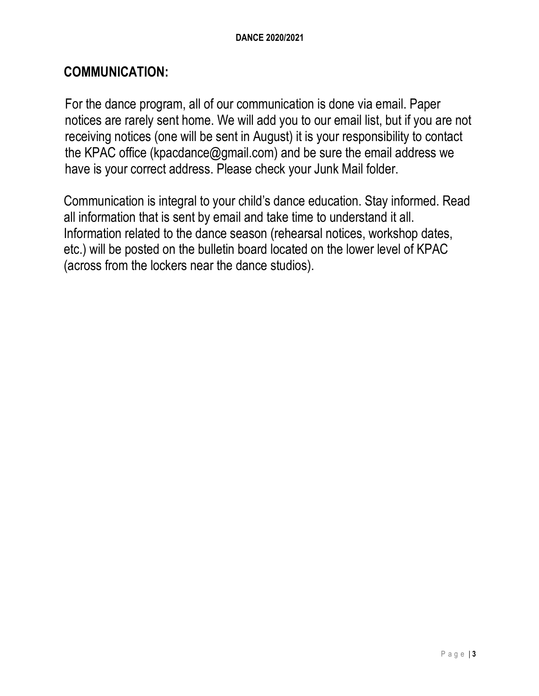#### **COMMUNICATION:**

For the dance program, all of our communication is done via email. Paper notices are rarely sent home. We will add you to our email list, but if you are not receiving notices (one will be sent in August) it is your responsibility to contact the KPAC office (kpacdance@gmail.com) and be sure the email address we have is your correct address. Please check your Junk Mail folder.

Communication is integral to your child's dance education. Stay informed. Read all information that is sent by email and take time to understand it all. Information related to the dance season (rehearsal notices, workshop dates, etc.) will be posted on the bulletin board located on the lower level of KPAC (across from the lockers near the dance studios).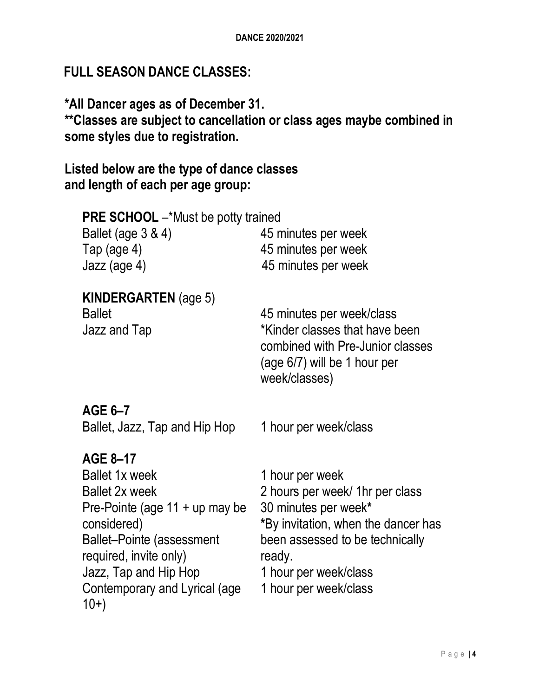#### **FULL SEASON DANCE CLASSES:**

**\*All Dancer ages as of December 31. \*\*Classes are subject to cancellation or class ages maybe combined in some styles due to registration.**

**Listed below are the type of dance classes and length of each per age group:**

| <b>PRE SCHOOL</b> -*Must be potty trained                    |                                                                                                                                                    |
|--------------------------------------------------------------|----------------------------------------------------------------------------------------------------------------------------------------------------|
| Ballet (age 3 & 4)                                           | 45 minutes per week                                                                                                                                |
| Tap (age $4$ )                                               | 45 minutes per week                                                                                                                                |
| Jazz (age 4)                                                 | 45 minutes per week                                                                                                                                |
| <b>KINDERGARTEN</b> (age 5)<br><b>Ballet</b><br>Jazz and Tap | 45 minutes per week/class<br>*Kinder classes that have been<br>combined with Pre-Junior classes<br>$(age 6/7)$ will be 1 hour per<br>week/classes) |
| AGE 6-7                                                      |                                                                                                                                                    |
| Ballet, Jazz, Tap and Hip Hop                                | 1 hour per week/class                                                                                                                              |
| AGE 8-17                                                     |                                                                                                                                                    |
| <b>Ballet 1x week</b>                                        | 1 hour per week                                                                                                                                    |
| <b>Ballet 2x week</b>                                        | 2 hours per week/ 1hr per class                                                                                                                    |
| Pre-Pointe (age 11 + up may be                               | 30 minutes per week*                                                                                                                               |
| considered)                                                  | *By invitation, when the dancer has                                                                                                                |
| <b>Ballet-Pointe (assessment</b>                             | been assessed to be technically                                                                                                                    |
| required, invite only)                                       | ready.                                                                                                                                             |
| Jazz, Tap and Hip Hop                                        | 1 hour per week/class                                                                                                                              |
| Contemporary and Lyrical (age<br>$10+)$                      | 1 hour per week/class                                                                                                                              |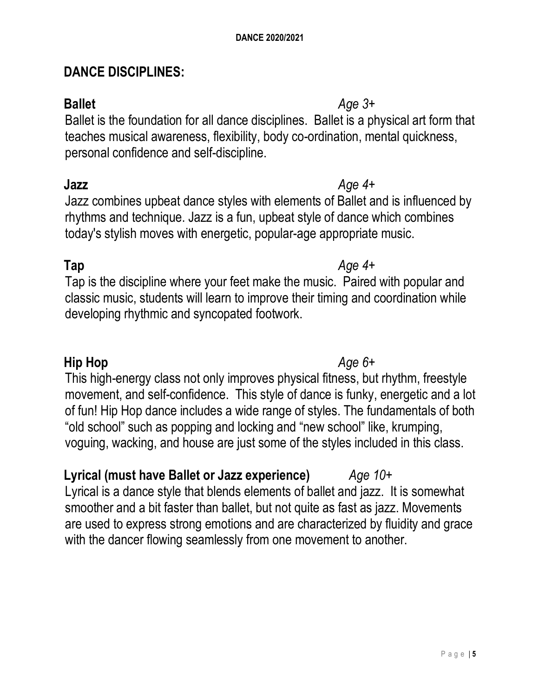#### **DANCE DISCIPLINES:**

Ballet is the foundation for all dance disciplines. Ballet is a physical art form that teaches musical awareness, flexibility, body co-ordination, mental quickness, personal confidence and self-discipline.

Jazz combines upbeat dance styles with elements of Ballet and is influenced by rhythms and technique. Jazz is a fun, upbeat style of dance which combines today's stylish moves with energetic, popular-age appropriate music.

#### **Tap** *Age 4+*

Tap is the discipline where your feet make the music. Paired with popular and classic music, students will learn to improve their timing and coordination while developing rhythmic and syncopated footwork.

#### **Hip Hop** *Age 6+*

This high-energy class not only improves physical fitness, but rhythm, freestyle movement, and self-confidence. This style of dance is funky, energetic and a lot of fun! Hip Hop dance includes a wide range of styles. The fundamentals of both "old school" such as popping and locking and "new school" like, krumping, voguing, wacking, and house are just some of the styles included in this class.

### **Lyrical (must have Ballet or Jazz experience)** *Age 10+*

Lyrical is a dance style that blends elements of ballet and jazz. It is somewhat smoother and a bit faster than ballet, but not quite as fast as jazz. Movements are used to express strong emotions and are characterized by fluidity and grace with the dancer flowing seamlessly from one movement to another.

#### **Ballet** *Age 3+*

### **Jazz** *Age 4+*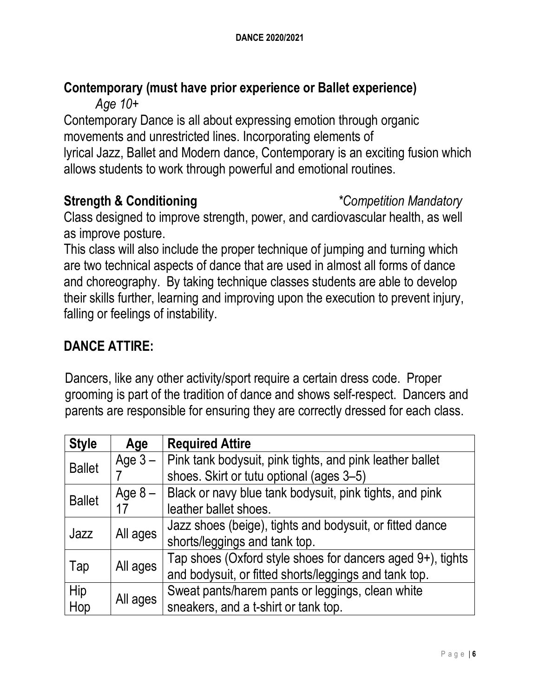#### **Contemporary (must have prior experience or Ballet experience)** *Age 10+*

Contemporary Dance is all about expressing emotion through organic movements and unrestricted lines. Incorporating elements of lyrical Jazz, Ballet and Modern dance, Contemporary is an exciting fusion which allows students to work through powerful and emotional routines.

#### **Strength & Conditioning** *\*Competition Mandatory*

Class designed to improve strength, power, and cardiovascular health, as well as improve posture.

This class will also include the proper technique of jumping and turning which are two technical aspects of dance that are used in almost all forms of dance and choreography. By taking technique classes students are able to develop their skills further, learning and improving upon the execution to prevent injury, falling or feelings of instability.

### **DANCE ATTIRE:**

Dancers, like any other activity/sport require a certain dress code. Proper grooming is part of the tradition of dance and shows self-respect. Dancers and parents are responsible for ensuring they are correctly dressed for each class.

| <b>Style</b>     | Age                                              | <b>Required Attire</b>                                     |
|------------------|--------------------------------------------------|------------------------------------------------------------|
| <b>Ballet</b>    | Age $3-$                                         | Pink tank bodysuit, pink tights, and pink leather ballet   |
|                  |                                                  | shoes. Skirt or tutu optional (ages 3-5)                   |
| <b>Ballet</b>    | Age $8-$                                         | Black or navy blue tank bodysuit, pink tights, and pink    |
|                  | 17                                               | leather ballet shoes.                                      |
| All ages<br>Jazz |                                                  | Jazz shoes (beige), tights and bodysuit, or fitted dance   |
|                  |                                                  | shorts/leggings and tank top.                              |
|                  |                                                  | Tap shoes (Oxford style shoes for dancers aged 9+), tights |
| All ages<br>Tap  |                                                  | and bodysuit, or fitted shorts/leggings and tank top.      |
| Hip              | Sweat pants/harem pants or leggings, clean white |                                                            |
| Hop              | All ages                                         | sneakers, and a t-shirt or tank top.                       |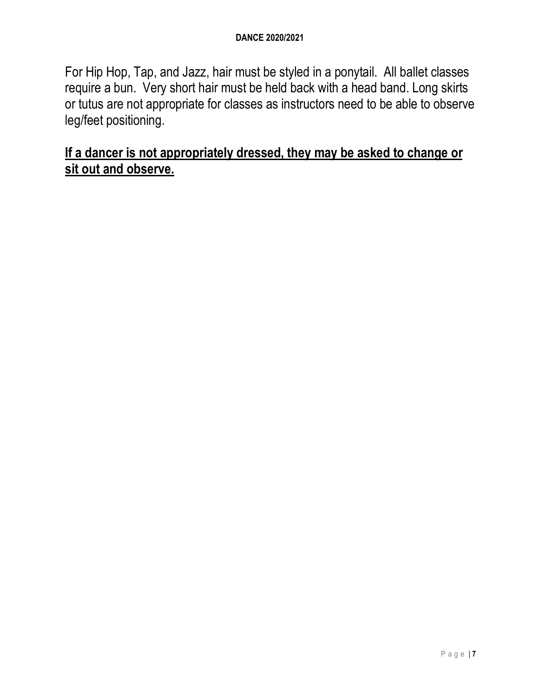#### **DANCE 2020/2021**

For Hip Hop, Tap, and Jazz, hair must be styled in a ponytail. All ballet classes require a bun. Very short hair must be held back with a head band. Long skirts or tutus are not appropriate for classes as instructors need to be able to observe leg/feet positioning.

#### **If a dancer is not appropriately dressed, they may be asked to change or sit out and observe.**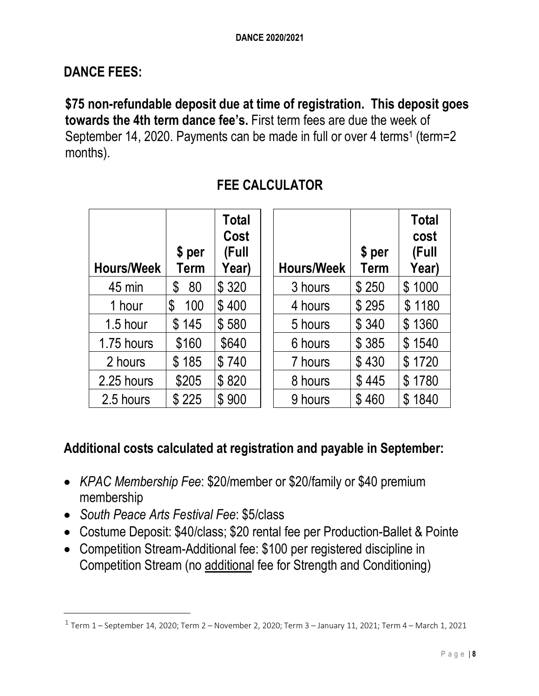#### **DANCE FEES:**

**\$75 non-refundable deposit due at time of registration. This deposit goes towards the 4th term dance fee's.** First term fees are due the week of September 14, 2020. Payments can be made in full or over 4 terms<sup>1</sup> (term=2) months).

| <b>Hours/Week</b> | \$ per<br>Term | Total<br>Cost<br>(Full<br>Year) | <b>Hours/Week</b> | \$ per<br><b>Term</b> | <b>Total</b><br>cost<br>(Full<br>Year) |
|-------------------|----------------|---------------------------------|-------------------|-----------------------|----------------------------------------|
| 45 min            | 80<br>\$       | \$320                           | 3 hours           | \$250                 | \$1000                                 |
| 1 hour            | 100<br>S       | \$400                           | 4 hours           | \$295                 | \$1180                                 |
| 1.5 hour          | \$145          | \$580                           | 5 hours           | \$340                 | \$1360                                 |
| 1.75 hours        | \$160          | \$640                           | 6 hours           | \$385                 | \$1540                                 |
| 2 hours           | \$185          | \$740                           | 7 hours           | \$430                 | \$1720                                 |
| 2.25 hours        | \$205          | \$820                           | 8 hours           | \$445                 | \$1780                                 |
| 2.5 hours         | \$225          | \$900                           | 9 hours           | \$460                 | \$1840                                 |

#### **FEE CALCULATOR**

#### **Additional costs calculated at registration and payable in September:**

- *KPAC Membership Fee*: \$20/member or \$20/family or \$40 premium membership
- *South Peace Arts Festival Fee*: \$5/class

 $\overline{a}$ 

- Costume Deposit: \$40/class; \$20 rental fee per Production-Ballet & Pointe
- Competition Stream-Additional fee: \$100 per registered discipline in Competition Stream (no additional fee for Strength and Conditioning)

<sup>1</sup> Term 1 – September 14, 2020; Term 2 – November 2, 2020; Term 3 – January 11, 2021; Term 4 – March 1, 2021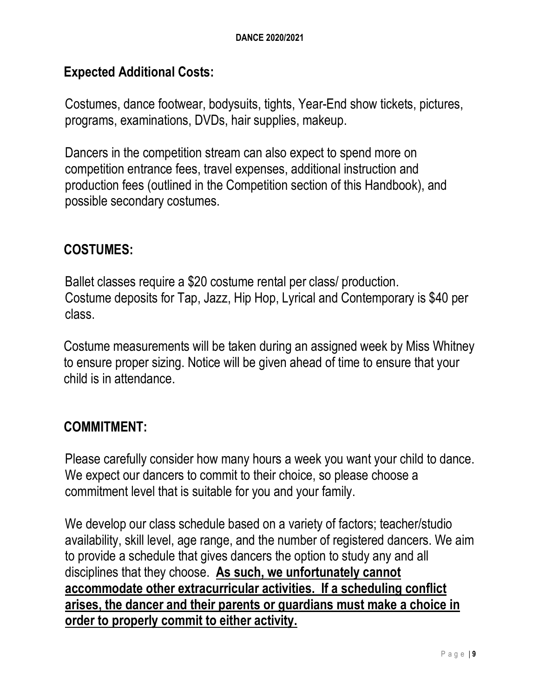#### **Expected Additional Costs:**

Costumes, dance footwear, bodysuits, tights, Year-End show tickets, pictures, programs, examinations, DVDs, hair supplies, makeup.

Dancers in the competition stream can also expect to spend more on competition entrance fees, travel expenses, additional instruction and production fees (outlined in the Competition section of this Handbook), and possible secondary costumes.

#### **COSTUMES:**

Ballet classes require a \$20 costume rental per class/ production. Costume deposits for Tap, Jazz, Hip Hop, Lyrical and Contemporary is \$40 per class.

Costume measurements will be taken during an assigned week by Miss Whitney to ensure proper sizing. Notice will be given ahead of time to ensure that your child is in attendance.

#### **COMMITMENT:**

Please carefully consider how many hours a week you want your child to dance. We expect our dancers to commit to their choice, so please choose a commitment level that is suitable for you and your family.

We develop our class schedule based on a variety of factors; teacher/studio availability, skill level, age range, and the number of registered dancers. We aim to provide a schedule that gives dancers the option to study any and all disciplines that they choose. **As such, we unfortunately cannot accommodate other extracurricular activities. If a scheduling conflict arises, the dancer and their parents or guardians must make a choice in order to properly commit to either activity.**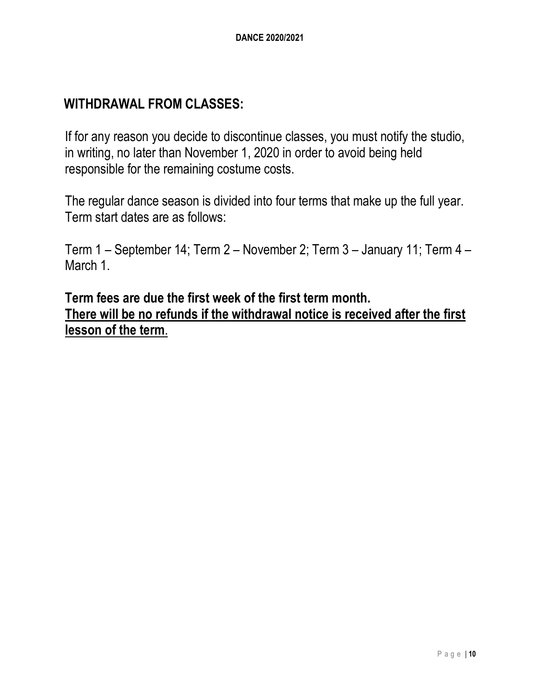#### **WITHDRAWAL FROM CLASSES:**

If for any reason you decide to discontinue classes, you must notify the studio, in writing, no later than November 1, 2020 in order to avoid being held responsible for the remaining costume costs.

The regular dance season is divided into four terms that make up the full year. Term start dates are as follows:

Term 1 – September 14; Term 2 – November 2; Term 3 – January 11; Term 4 – March 1.

**Term fees are due the first week of the first term month. There will be no refunds if the withdrawal notice is received after the first lesson of the term**.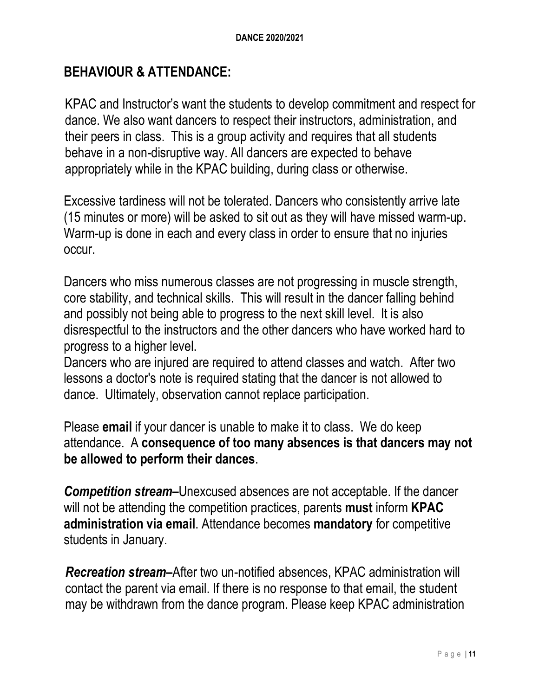#### **BEHAVIOUR & ATTENDANCE:**

KPAC and Instructor's want the students to develop commitment and respect for dance. We also want dancers to respect their instructors, administration, and their peers in class. This is a group activity and requires that all students behave in a non-disruptive way. All dancers are expected to behave appropriately while in the KPAC building, during class or otherwise.

Excessive tardiness will not be tolerated. Dancers who consistently arrive late (15 minutes or more) will be asked to sit out as they will have missed warm-up. Warm-up is done in each and every class in order to ensure that no injuries occur.

Dancers who miss numerous classes are not progressing in muscle strength, core stability, and technical skills. This will result in the dancer falling behind and possibly not being able to progress to the next skill level. It is also disrespectful to the instructors and the other dancers who have worked hard to progress to a higher level.

Dancers who are injured are required to attend classes and watch. After two lessons a doctor's note is required stating that the dancer is not allowed to dance. Ultimately, observation cannot replace participation.

Please **email** if your dancer is unable to make it to class. We do keep attendance. A **consequence of too many absences is that dancers may not be allowed to perform their dances**.

*Competition stream***–**Unexcused absences are not acceptable. If the dancer will not be attending the competition practices, parents **must** inform **KPAC administration via email**. Attendance becomes **mandatory** for competitive students in January.

*Recreation stream–*After two un-notified absences, KPAC administration will contact the parent via email. If there is no response to that email, the student may be withdrawn from the dance program. Please keep KPAC administration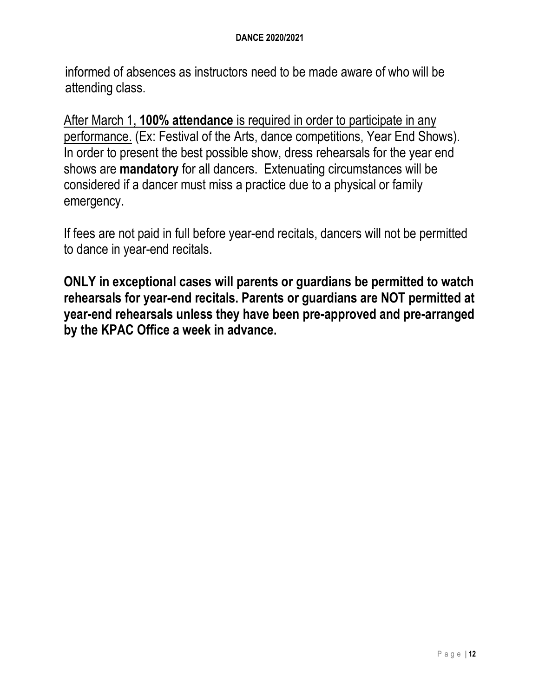informed of absences as instructors need to be made aware of who will be attending class.

After March 1, **100% attendance** is required in order to participate in any performance. (Ex: Festival of the Arts, dance competitions, Year End Shows). In order to present the best possible show, dress rehearsals for the year end shows are **mandatory** for all dancers. Extenuating circumstances will be considered if a dancer must miss a practice due to a physical or family emergency.

If fees are not paid in full before year-end recitals, dancers will not be permitted to dance in year-end recitals.

**ONLY in exceptional cases will parents or guardians be permitted to watch rehearsals for year-end recitals. Parents or guardians are NOT permitted at year-end rehearsals unless they have been pre-approved and pre-arranged by the KPAC Office a week in advance.**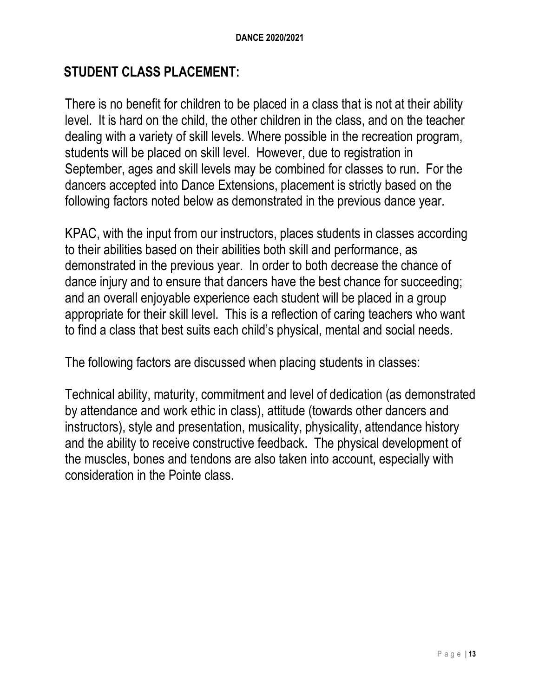#### **STUDENT CLASS PLACEMENT:**

There is no benefit for children to be placed in a class that is not at their ability level. It is hard on the child, the other children in the class, and on the teacher dealing with a variety of skill levels. Where possible in the recreation program, students will be placed on skill level. However, due to registration in September, ages and skill levels may be combined for classes to run. For the dancers accepted into Dance Extensions, placement is strictly based on the following factors noted below as demonstrated in the previous dance year.

KPAC, with the input from our instructors, places students in classes according to their abilities based on their abilities both skill and performance, as demonstrated in the previous year. In order to both decrease the chance of dance injury and to ensure that dancers have the best chance for succeeding; and an overall enjoyable experience each student will be placed in a group appropriate for their skill level. This is a reflection of caring teachers who want to find a class that best suits each child's physical, mental and social needs.

The following factors are discussed when placing students in classes:

Technical ability, maturity, commitment and level of dedication (as demonstrated by attendance and work ethic in class), attitude (towards other dancers and instructors), style and presentation, musicality, physicality, attendance history and the ability to receive constructive feedback. The physical development of the muscles, bones and tendons are also taken into account, especially with consideration in the Pointe class.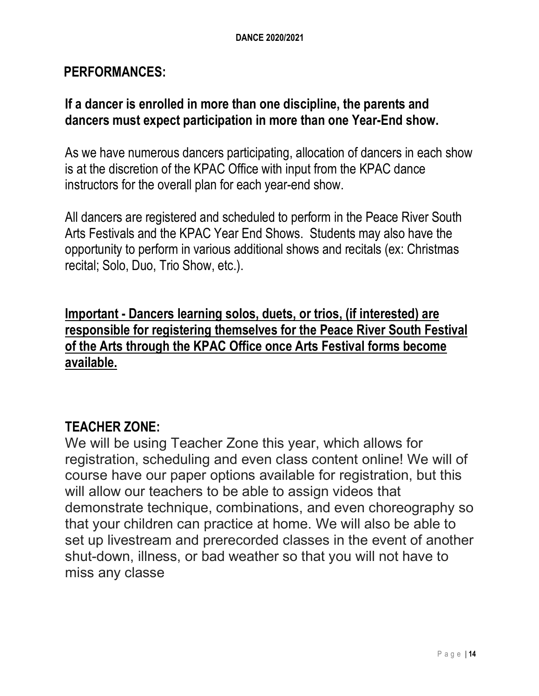#### **PERFORMANCES:**

#### **If a dancer is enrolled in more than one discipline, the parents and dancers must expect participation in more than one Year-End show.**

As we have numerous dancers participating, allocation of dancers in each show is at the discretion of the KPAC Office with input from the KPAC dance instructors for the overall plan for each year-end show.

All dancers are registered and scheduled to perform in the Peace River South Arts Festivals and the KPAC Year End Shows. Students may also have the opportunity to perform in various additional shows and recitals (ex: Christmas recital; Solo, Duo, Trio Show, etc.).

**Important - Dancers learning solos, duets, or trios, (if interested) are responsible for registering themselves for the Peace River South Festival of the Arts through the KPAC Office once Arts Festival forms become available.**

#### **TEACHER ZONE:**

We will be using Teacher Zone this year, which allows for registration, scheduling and even class content online! We will of course have our paper options available for registration, but this will allow our teachers to be able to assign videos that demonstrate technique, combinations, and even choreography so that your children can practice at home. We will also be able to set up livestream and prerecorded classes in the event of another shut-down, illness, or bad weather so that you will not have to miss any classe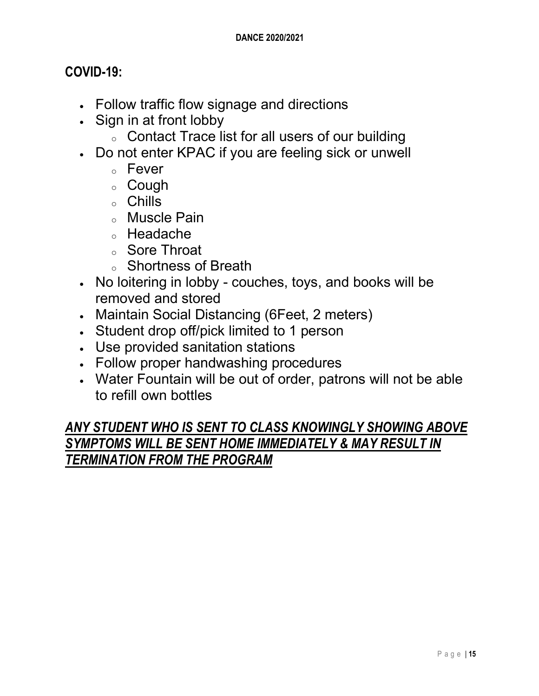#### **COVID-19:**

- Follow traffic flow signage and directions
- Sign in at front lobby
	- o Contact Trace list for all users of our building
- Do not enter KPAC if you are feeling sick or unwell
	- <sup>o</sup> Fever
	- <sup>o</sup> Cough
	- <sup>o</sup> Chills
	- <sup>o</sup> Muscle Pain
	- <sup>o</sup> Headache
	- <sup>o</sup> Sore Throat
	- <sup>o</sup> Shortness of Breath
- No loitering in lobby couches, toys, and books will be removed and stored
- Maintain Social Distancing (6Feet, 2 meters)
- Student drop off/pick limited to 1 person
- Use provided sanitation stations
- Follow proper handwashing procedures
- Water Fountain will be out of order, patrons will not be able to refill own bottles

#### *ANY STUDENT WHO IS SENT TO CLASS KNOWINGLY SHOWING ABOVE SYMPTOMS WILL BE SENT HOME IMMEDIATELY & MAY RESULT IN TERMINATION FROM THE PROGRAM*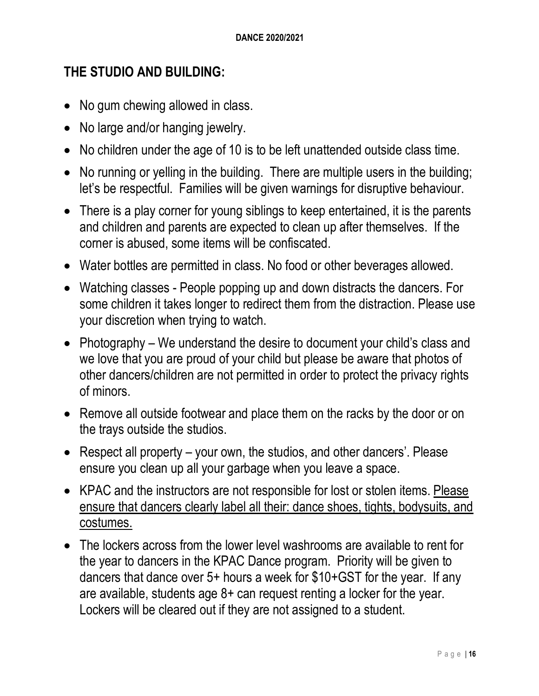#### **THE STUDIO AND BUILDING:**

- No gum chewing allowed in class.
- No large and/or hanging jewelry.
- No children under the age of 10 is to be left unattended outside class time.
- No running or yelling in the building. There are multiple users in the building; let's be respectful. Families will be given warnings for disruptive behaviour.
- There is a play corner for young siblings to keep entertained, it is the parents and children and parents are expected to clean up after themselves. If the corner is abused, some items will be confiscated.
- Water bottles are permitted in class. No food or other beverages allowed.
- Watching classes People popping up and down distracts the dancers. For some children it takes longer to redirect them from the distraction. Please use your discretion when trying to watch.
- Photography We understand the desire to document your child's class and we love that you are proud of your child but please be aware that photos of other dancers/children are not permitted in order to protect the privacy rights of minors.
- Remove all outside footwear and place them on the racks by the door or on the trays outside the studios.
- Respect all property your own, the studios, and other dancers'. Please ensure you clean up all your garbage when you leave a space.
- KPAC and the instructors are not responsible for lost or stolen items. Please ensure that dancers clearly label all their: dance shoes, tights, bodysuits, and costumes.
- The lockers across from the lower level washrooms are available to rent for the year to dancers in the KPAC Dance program. Priority will be given to dancers that dance over 5+ hours a week for \$10+GST for the year. If any are available, students age 8+ can request renting a locker for the year. Lockers will be cleared out if they are not assigned to a student.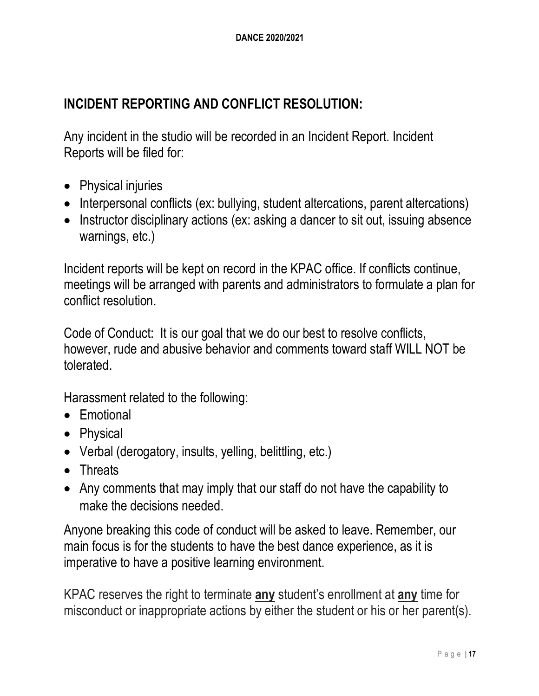### **INCIDENT REPORTING AND CONFLICT RESOLUTION:**

Any incident in the studio will be recorded in an Incident Report. Incident Reports will be filed for:

- Physical injuries
- Interpersonal conflicts (ex: bullying, student altercations, parent altercations)
- Instructor disciplinary actions (ex: asking a dancer to sit out, issuing absence warnings, etc.)

Incident reports will be kept on record in the KPAC office. If conflicts continue, meetings will be arranged with parents and administrators to formulate a plan for conflict resolution.

Code of Conduct: It is our goal that we do our best to resolve conflicts, however, rude and abusive behavior and comments toward staff WILL NOT be tolerated.

Harassment related to the following:

- Emotional
- Physical
- Verbal (derogatory, insults, yelling, belittling, etc.)
- Threats
- Any comments that may imply that our staff do not have the capability to make the decisions needed.

Anyone breaking this code of conduct will be asked to leave. Remember, our main focus is for the students to have the best dance experience, as it is imperative to have a positive learning environment.

KPAC reserves the right to terminate **any** student's enrollment at **any** time for misconduct or inappropriate actions by either the student or his or her parent(s).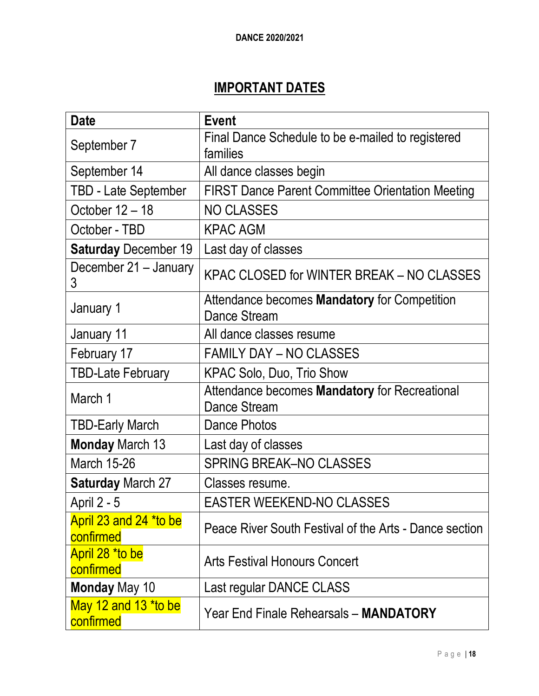### **IMPORTANT DATES**

| <b>Date</b>                         | <b>Event</b>                                                                |  |
|-------------------------------------|-----------------------------------------------------------------------------|--|
| September 7                         | Final Dance Schedule to be e-mailed to registered                           |  |
|                                     | families                                                                    |  |
| September 14                        | All dance classes begin                                                     |  |
| <b>TBD - Late September</b>         | <b>FIRST Dance Parent Committee Orientation Meeting</b>                     |  |
| October 12 - 18                     | <b>NO CLASSES</b>                                                           |  |
| October - TBD                       | <b>KPAC AGM</b>                                                             |  |
| <b>Saturday December 19</b>         | Last day of classes                                                         |  |
| December 21 - January<br>3          | KPAC CLOSED for WINTER BREAK - NO CLASSES                                   |  |
| January 1                           | Attendance becomes <b>Mandatory</b> for Competition<br><b>Dance Stream</b>  |  |
| January 11                          | All dance classes resume                                                    |  |
| February 17                         | <b>FAMILY DAY – NO CLASSES</b>                                              |  |
| <b>TBD-Late February</b>            | KPAC Solo, Duo, Trio Show                                                   |  |
| March 1                             | Attendance becomes <b>Mandatory</b> for Recreational<br><b>Dance Stream</b> |  |
| <b>TBD-Early March</b>              | <b>Dance Photos</b>                                                         |  |
| <b>Monday March 13</b>              | Last day of classes                                                         |  |
| <b>March 15-26</b>                  | <b>SPRING BREAK-NO CLASSES</b>                                              |  |
| <b>Saturday March 27</b>            | Classes resume.                                                             |  |
| April 2 - 5                         | <b>EASTER WEEKEND-NO CLASSES</b>                                            |  |
| April 23 and 24 *to be<br>confirmed | Peace River South Festival of the Arts - Dance section                      |  |
| April 28 *to be<br>confirmed        | <b>Arts Festival Honours Concert</b>                                        |  |
| <b>Monday May 10</b>                | Last regular DANCE CLASS                                                    |  |
| May 12 and 13 *to be<br>confirmed   | Year End Finale Rehearsals - MANDATORY                                      |  |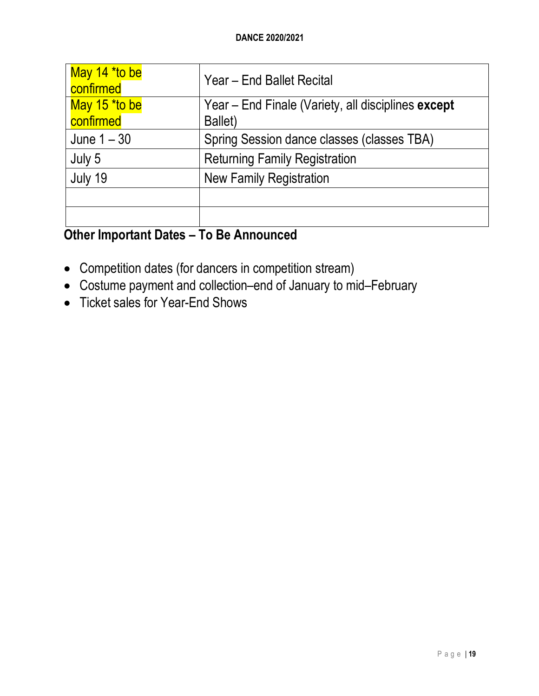| May 14 *to be<br>confirmed | Year - End Ballet Recital                                     |
|----------------------------|---------------------------------------------------------------|
| May 15 *to be<br>confirmed | Year - End Finale (Variety, all disciplines except<br>Ballet) |
| June $1 - 30$              | Spring Session dance classes (classes TBA)                    |
| July 5                     | <b>Returning Family Registration</b>                          |
| July 19                    | <b>New Family Registration</b>                                |
|                            |                                                               |
|                            |                                                               |

### **Other Important Dates – To Be Announced**

- Competition dates (for dancers in competition stream)
- Costume payment and collection–end of January to mid–February
- Ticket sales for Year-End Shows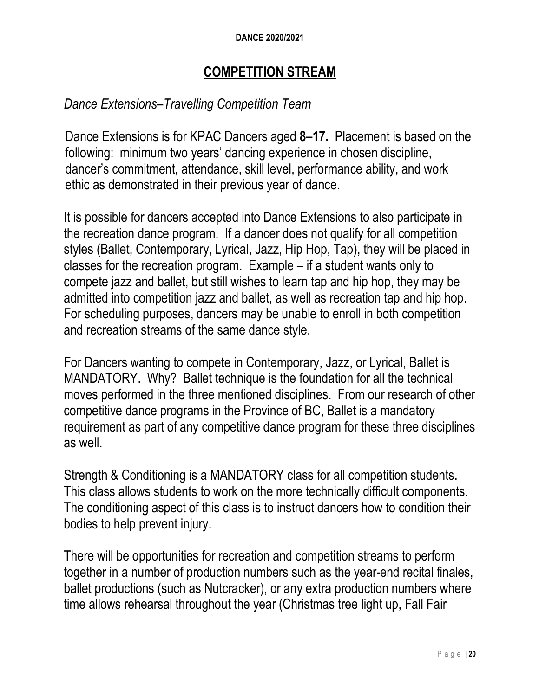#### **DANCE 2020/2021**

#### **COMPETITION STREAM**

#### *Dance Extensions–Travelling Competition Team*

Dance Extensions is for KPAC Dancers aged **8–17.** Placement is based on the following: minimum two years' dancing experience in chosen discipline, dancer's commitment, attendance, skill level, performance ability, and work ethic as demonstrated in their previous year of dance.

It is possible for dancers accepted into Dance Extensions to also participate in the recreation dance program. If a dancer does not qualify for all competition styles (Ballet, Contemporary, Lyrical, Jazz, Hip Hop, Tap), they will be placed in classes for the recreation program. Example – if a student wants only to compete jazz and ballet, but still wishes to learn tap and hip hop, they may be admitted into competition jazz and ballet, as well as recreation tap and hip hop. For scheduling purposes, dancers may be unable to enroll in both competition and recreation streams of the same dance style.

For Dancers wanting to compete in Contemporary, Jazz, or Lyrical, Ballet is MANDATORY. Why? Ballet technique is the foundation for all the technical moves performed in the three mentioned disciplines. From our research of other competitive dance programs in the Province of BC, Ballet is a mandatory requirement as part of any competitive dance program for these three disciplines as well.

Strength & Conditioning is a MANDATORY class for all competition students. This class allows students to work on the more technically difficult components. The conditioning aspect of this class is to instruct dancers how to condition their bodies to help prevent injury.

There will be opportunities for recreation and competition streams to perform together in a number of production numbers such as the year-end recital finales, ballet productions (such as Nutcracker), or any extra production numbers where time allows rehearsal throughout the year (Christmas tree light up, Fall Fair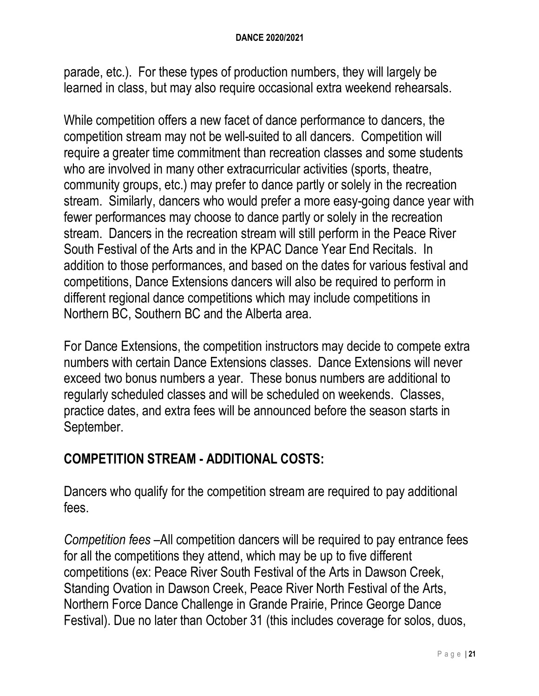parade, etc.). For these types of production numbers, they will largely be learned in class, but may also require occasional extra weekend rehearsals.

While competition offers a new facet of dance performance to dancers, the competition stream may not be well-suited to all dancers. Competition will require a greater time commitment than recreation classes and some students who are involved in many other extracurricular activities (sports, theatre, community groups, etc.) may prefer to dance partly or solely in the recreation stream. Similarly, dancers who would prefer a more easy-going dance year with fewer performances may choose to dance partly or solely in the recreation stream. Dancers in the recreation stream will still perform in the Peace River South Festival of the Arts and in the KPAC Dance Year End Recitals. In addition to those performances, and based on the dates for various festival and competitions, Dance Extensions dancers will also be required to perform in different regional dance competitions which may include competitions in Northern BC, Southern BC and the Alberta area.

For Dance Extensions, the competition instructors may decide to compete extra numbers with certain Dance Extensions classes. Dance Extensions will never exceed two bonus numbers a year. These bonus numbers are additional to regularly scheduled classes and will be scheduled on weekends. Classes, practice dates, and extra fees will be announced before the season starts in September.

### **COMPETITION STREAM - ADDITIONAL COSTS:**

Dancers who qualify for the competition stream are required to pay additional fees.

*Competition fees* –All competition dancers will be required to pay entrance fees for all the competitions they attend, which may be up to five different competitions (ex: Peace River South Festival of the Arts in Dawson Creek, Standing Ovation in Dawson Creek, Peace River North Festival of the Arts, Northern Force Dance Challenge in Grande Prairie, Prince George Dance Festival). Due no later than October 31 (this includes coverage for solos, duos,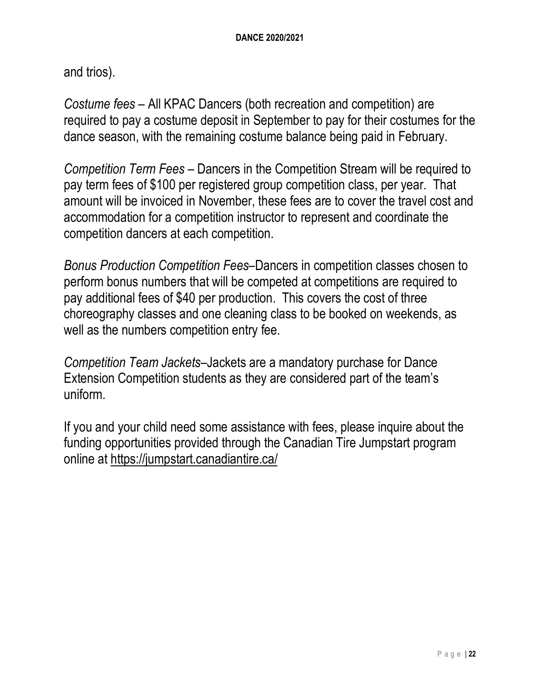and trios).

*Costume fees* – All KPAC Dancers (both recreation and competition) are required to pay a costume deposit in September to pay for their costumes for the dance season, with the remaining costume balance being paid in February.

*Competition Term Fees* – Dancers in the Competition Stream will be required to pay term fees of \$100 per registered group competition class, per year. That amount will be invoiced in November, these fees are to cover the travel cost and accommodation for a competition instructor to represent and coordinate the competition dancers at each competition.

*Bonus Production Competition Fees*–Dancers in competition classes chosen to perform bonus numbers that will be competed at competitions are required to pay additional fees of \$40 per production. This covers the cost of three choreography classes and one cleaning class to be booked on weekends, as well as the numbers competition entry fee.

*Competition Team Jackets–*Jackets are a mandatory purchase for Dance Extension Competition students as they are considered part of the team's uniform.

If you and your child need some assistance with fees, please inquire about the funding opportunities provided through the Canadian Tire Jumpstart program online at https://jumpstart.canadiantire.ca/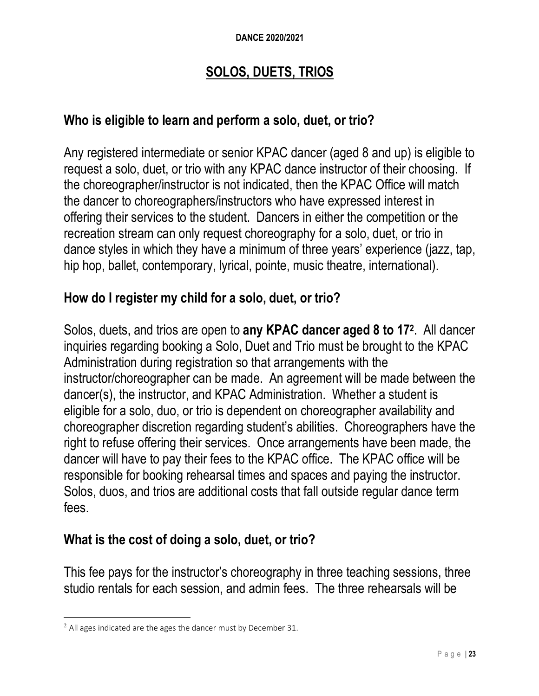#### **DANCE 2020/2021**

#### **SOLOS, DUETS, TRIOS**

#### **Who is eligible to learn and perform a solo, duet, or trio?**

Any registered intermediate or senior KPAC dancer (aged 8 and up) is eligible to request a solo, duet, or trio with any KPAC dance instructor of their choosing. If the choreographer/instructor is not indicated, then the KPAC Office will match the dancer to choreographers/instructors who have expressed interest in offering their services to the student. Dancers in either the competition or the recreation stream can only request choreography for a solo, duet, or trio in dance styles in which they have a minimum of three years' experience (jazz, tap, hip hop, ballet, contemporary, lyrical, pointe, music theatre, international).

#### **How do I register my child for a solo, duet, or trio?**

Solos, duets, and trios are open to **any KPAC dancer aged 8 to 172**. All dancer inquiries regarding booking a Solo, Duet and Trio must be brought to the KPAC Administration during registration so that arrangements with the instructor/choreographer can be made. An agreement will be made between the dancer(s), the instructor, and KPAC Administration. Whether a student is eligible for a solo, duo, or trio is dependent on choreographer availability and choreographer discretion regarding student's abilities. Choreographers have the right to refuse offering their services. Once arrangements have been made, the dancer will have to pay their fees to the KPAC office. The KPAC office will be responsible for booking rehearsal times and spaces and paying the instructor. Solos, duos, and trios are additional costs that fall outside regular dance term fees.

#### **What is the cost of doing a solo, duet, or trio?**

This fee pays for the instructor's choreography in three teaching sessions, three studio rentals for each session, and admin fees. The three rehearsals will be

<sup>&</sup>lt;sup>2</sup> All ages indicated are the ages the dancer must by December 31.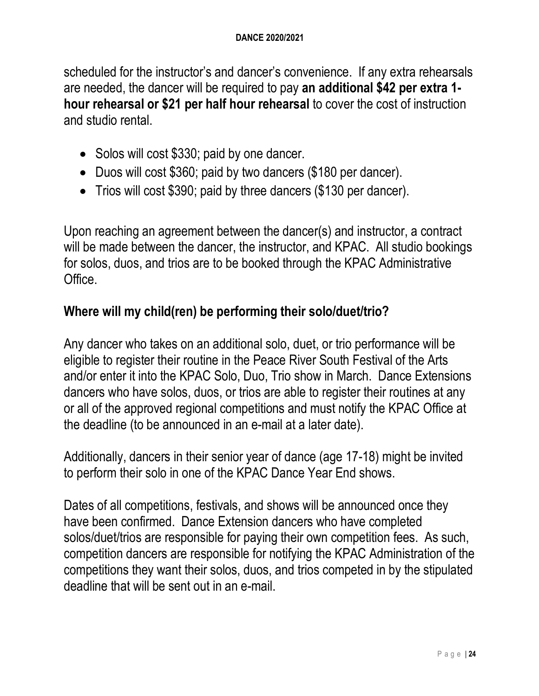scheduled for the instructor's and dancer's convenience. If any extra rehearsals are needed, the dancer will be required to pay **an additional \$42 per extra 1 hour rehearsal or \$21 per half hour rehearsal** to cover the cost of instruction and studio rental.

- Solos will cost \$330; paid by one dancer.
- Duos will cost \$360; paid by two dancers (\$180 per dancer).
- Trios will cost \$390; paid by three dancers (\$130 per dancer).

Upon reaching an agreement between the dancer(s) and instructor, a contract will be made between the dancer, the instructor, and KPAC. All studio bookings for solos, duos, and trios are to be booked through the KPAC Administrative Office.

#### **Where will my child(ren) be performing their solo/duet/trio?**

Any dancer who takes on an additional solo, duet, or trio performance will be eligible to register their routine in the Peace River South Festival of the Arts and/or enter it into the KPAC Solo, Duo, Trio show in March. Dance Extensions dancers who have solos, duos, or trios are able to register their routines at any or all of the approved regional competitions and must notify the KPAC Office at the deadline (to be announced in an e-mail at a later date).

Additionally, dancers in their senior year of dance (age 17-18) might be invited to perform their solo in one of the KPAC Dance Year End shows.

Dates of all competitions, festivals, and shows will be announced once they have been confirmed. Dance Extension dancers who have completed solos/duet/trios are responsible for paying their own competition fees. As such, competition dancers are responsible for notifying the KPAC Administration of the competitions they want their solos, duos, and trios competed in by the stipulated deadline that will be sent out in an e-mail.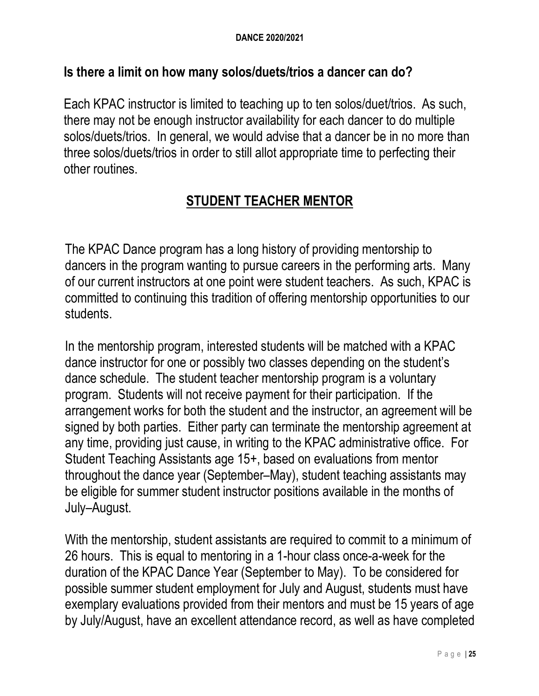#### **Is there a limit on how many solos/duets/trios a dancer can do?**

Each KPAC instructor is limited to teaching up to ten solos/duet/trios. As such, there may not be enough instructor availability for each dancer to do multiple solos/duets/trios. In general, we would advise that a dancer be in no more than three solos/duets/trios in order to still allot appropriate time to perfecting their other routines.

### **STUDENT TEACHER MENTOR**

The KPAC Dance program has a long history of providing mentorship to dancers in the program wanting to pursue careers in the performing arts. Many of our current instructors at one point were student teachers. As such, KPAC is committed to continuing this tradition of offering mentorship opportunities to our students.

In the mentorship program, interested students will be matched with a KPAC dance instructor for one or possibly two classes depending on the student's dance schedule. The student teacher mentorship program is a voluntary program. Students will not receive payment for their participation. If the arrangement works for both the student and the instructor, an agreement will be signed by both parties. Either party can terminate the mentorship agreement at any time, providing just cause, in writing to the KPAC administrative office. For Student Teaching Assistants age 15+, based on evaluations from mentor throughout the dance year (September–May), student teaching assistants may be eligible for summer student instructor positions available in the months of July–August.

With the mentorship, student assistants are required to commit to a minimum of 26 hours. This is equal to mentoring in a 1-hour class once-a-week for the duration of the KPAC Dance Year (September to May). To be considered for possible summer student employment for July and August, students must have exemplary evaluations provided from their mentors and must be 15 years of age by July/August, have an excellent attendance record, as well as have completed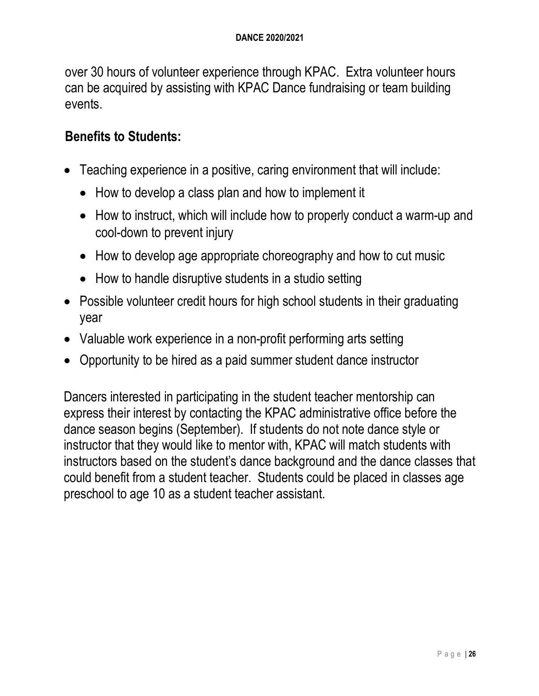over 30 hours of volunteer experience through KPAC. Extra volunteer hours can be acquired by assisting with KPAC Dance fundraising or team building events.

#### **Benefits to Students:**

- Teaching experience in a positive, caring environment that will include:
	- How to develop a class plan and how to implement it
	- How to instruct, which will include how to properly conduct a warm-up and cool-down to prevent injury
	- How to develop age appropriate choreography and how to cut music
	- How to handle disruptive students in a studio setting
- Possible volunteer credit hours for high school students in their graduating year
- Valuable work experience in a non-profit performing arts setting
- Opportunity to be hired as a paid summer student dance instructor

Dancers interested in participating in the student teacher mentorship can express their interest by contacting the KPAC administrative office before the dance season begins (September). If students do not note dance style or instructor that they would like to mentor with, KPAC will match students with instructors based on the student's dance background and the dance classes that could benefit from a student teacher. Students could be placed in classes age preschool to age 10 as a student teacher assistant.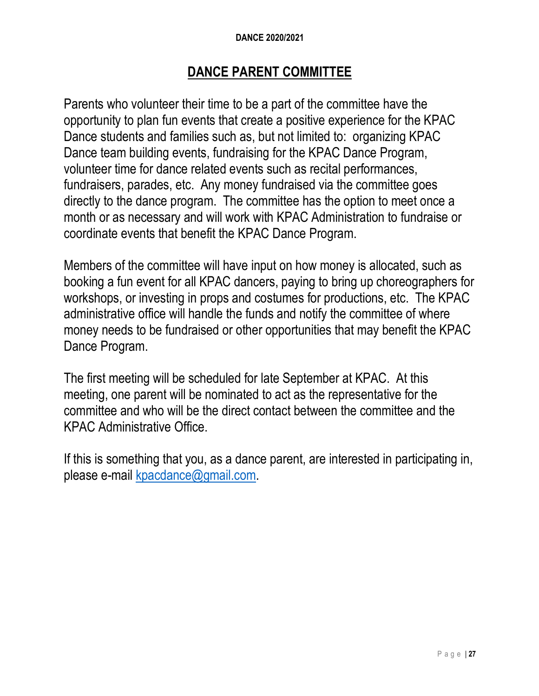#### **DANCE 2020/2021**

#### **DANCE PARENT COMMITTEE**

Parents who volunteer their time to be a part of the committee have the opportunity to plan fun events that create a positive experience for the KPAC Dance students and families such as, but not limited to: organizing KPAC Dance team building events, fundraising for the KPAC Dance Program, volunteer time for dance related events such as recital performances, fundraisers, parades, etc. Any money fundraised via the committee goes directly to the dance program. The committee has the option to meet once a month or as necessary and will work with KPAC Administration to fundraise or coordinate events that benefit the KPAC Dance Program.

Members of the committee will have input on how money is allocated, such as booking a fun event for all KPAC dancers, paying to bring up choreographers for workshops, or investing in props and costumes for productions, etc. The KPAC administrative office will handle the funds and notify the committee of where money needs to be fundraised or other opportunities that may benefit the KPAC Dance Program.

The first meeting will be scheduled for late September at KPAC. At this meeting, one parent will be nominated to act as the representative for the committee and who will be the direct contact between the committee and the KPAC Administrative Office.

If this is something that you, as a dance parent, are interested in participating in, please e-mail kpacdance@gmail.com.